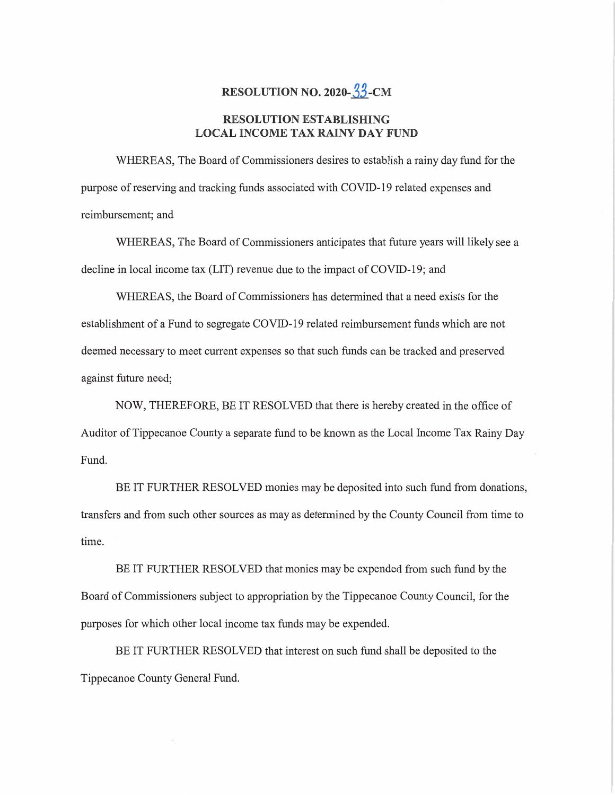## **RESOLUTION NO. 2020-33-CM**

## **RESOLUTION ESTABLISHING LOCAL INCOME** TAX **RAINY** DAY **FUND**

WHEREAS, The Board of Commissioners desires to establish a rainy day fund for the purpose of reserving and tracking **fimds** associated with COVID-19 related expenses and **reimbursement;** and

WHEREAS, The Board of **Commissioners** anticipates that future years will likely see a decline in local income tax (LIT) revenue due to the impact of COVID-19; and

WHEREAS, the Board of Commissioners has determined that a need exists for the establishment of **a** Fund to segregate COVID-19 related reimbursement fimds **which** are not deemed necessary to **meet** current **expenses** so that **such** funds can be tracked and preserved against future need;

NOW, THEREFORE, BE IT RESOLVED **that** there is hereby created in the office of Auditor of **Tippecanoe** County a separate fimd to be known as the Local Income Tax Rainy Day Fund.

BE IT FURTHER RESOLVED **monies** may be deposited into **such** fund from **donations,**  transfers and from such other sources as may as determined by the County Council from time to **time.** 

BE IT FURTHER RESOLVED that **monies** may be expended **from such** fund by the Board of Commissioners subject to appropriation by the Tippecanoe County Council, for the purposes for which other local **income** tax **funds** may be expended.

BE IT FURTHER RESOLVED **that** interest on **such fund** shall be deposited to the Tippecanoe County General Fund.